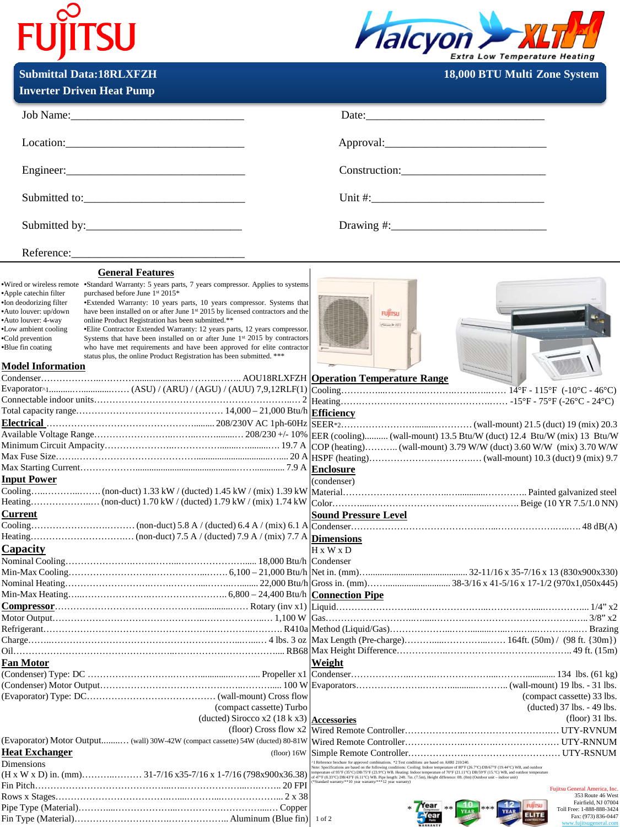## **FUJITSU**



**Submittal Data:18RLXFZH 18,000 BTU Multi-Zone System** 

|                                                                                                                                                                                                | <b>Inverter Driven Heat Pump</b>                                                                                                                                                                                                                                                                                                                                                                                                                                                                                                                                                                                                                                              |                                                                                                                                                                                                                                        |
|------------------------------------------------------------------------------------------------------------------------------------------------------------------------------------------------|-------------------------------------------------------------------------------------------------------------------------------------------------------------------------------------------------------------------------------------------------------------------------------------------------------------------------------------------------------------------------------------------------------------------------------------------------------------------------------------------------------------------------------------------------------------------------------------------------------------------------------------------------------------------------------|----------------------------------------------------------------------------------------------------------------------------------------------------------------------------------------------------------------------------------------|
|                                                                                                                                                                                                |                                                                                                                                                                                                                                                                                                                                                                                                                                                                                                                                                                                                                                                                               | Date: $\frac{1}{2}$ Date:                                                                                                                                                                                                              |
|                                                                                                                                                                                                | Location:                                                                                                                                                                                                                                                                                                                                                                                                                                                                                                                                                                                                                                                                     |                                                                                                                                                                                                                                        |
|                                                                                                                                                                                                |                                                                                                                                                                                                                                                                                                                                                                                                                                                                                                                                                                                                                                                                               | Construction: Construction:                                                                                                                                                                                                            |
|                                                                                                                                                                                                |                                                                                                                                                                                                                                                                                                                                                                                                                                                                                                                                                                                                                                                                               |                                                                                                                                                                                                                                        |
|                                                                                                                                                                                                |                                                                                                                                                                                                                                                                                                                                                                                                                                                                                                                                                                                                                                                                               |                                                                                                                                                                                                                                        |
|                                                                                                                                                                                                |                                                                                                                                                                                                                                                                                                                                                                                                                                                                                                                                                                                                                                                                               |                                                                                                                                                                                                                                        |
|                                                                                                                                                                                                | <b>General Features</b>                                                                                                                                                                                                                                                                                                                                                                                                                                                                                                                                                                                                                                                       |                                                                                                                                                                                                                                        |
| *Apple catechin filter<br>•Ion deodorizing filter<br>*Auto louver: up/down<br>*Auto louver: 4-way<br>•Low ambient cooling<br>·Cold prevention<br>•Blue fin coating<br><b>Model Information</b> | •Wired or wireless remote •Standard Warranty: 5 years parts, 7 years compressor. Applies to systems<br>purchased before June 1st 2015*<br>•Extended Warranty: 10 years parts, 10 years compressor. Systems that<br>have been installed on or after June 1st 2015 by licensed contractors and the<br>online Product Registration has been submitted.**<br>• Elite Contractor Extended Warranty: 12 years parts, 12 years compressor.<br>Systems that have been installed on or after June 1 <sup>st</sup> 2015 by contractors<br>who have met requirements and have been approved for elite contractor<br>status plus, the online Product Registration has been submitted. *** | <b>FUJITSU</b><br><b>Player &amp; HFI</b>                                                                                                                                                                                              |
|                                                                                                                                                                                                |                                                                                                                                                                                                                                                                                                                                                                                                                                                                                                                                                                                                                                                                               |                                                                                                                                                                                                                                        |
|                                                                                                                                                                                                |                                                                                                                                                                                                                                                                                                                                                                                                                                                                                                                                                                                                                                                                               |                                                                                                                                                                                                                                        |
|                                                                                                                                                                                                |                                                                                                                                                                                                                                                                                                                                                                                                                                                                                                                                                                                                                                                                               |                                                                                                                                                                                                                                        |
|                                                                                                                                                                                                |                                                                                                                                                                                                                                                                                                                                                                                                                                                                                                                                                                                                                                                                               |                                                                                                                                                                                                                                        |
|                                                                                                                                                                                                |                                                                                                                                                                                                                                                                                                                                                                                                                                                                                                                                                                                                                                                                               |                                                                                                                                                                                                                                        |
|                                                                                                                                                                                                |                                                                                                                                                                                                                                                                                                                                                                                                                                                                                                                                                                                                                                                                               |                                                                                                                                                                                                                                        |
|                                                                                                                                                                                                |                                                                                                                                                                                                                                                                                                                                                                                                                                                                                                                                                                                                                                                                               |                                                                                                                                                                                                                                        |
|                                                                                                                                                                                                |                                                                                                                                                                                                                                                                                                                                                                                                                                                                                                                                                                                                                                                                               |                                                                                                                                                                                                                                        |
| <b>Input Power</b>                                                                                                                                                                             |                                                                                                                                                                                                                                                                                                                                                                                                                                                                                                                                                                                                                                                                               | (condenser)                                                                                                                                                                                                                            |
|                                                                                                                                                                                                |                                                                                                                                                                                                                                                                                                                                                                                                                                                                                                                                                                                                                                                                               |                                                                                                                                                                                                                                        |
|                                                                                                                                                                                                |                                                                                                                                                                                                                                                                                                                                                                                                                                                                                                                                                                                                                                                                               |                                                                                                                                                                                                                                        |
| <b>Current</b>                                                                                                                                                                                 |                                                                                                                                                                                                                                                                                                                                                                                                                                                                                                                                                                                                                                                                               | <b>Sound Pressure Level</b>                                                                                                                                                                                                            |
|                                                                                                                                                                                                |                                                                                                                                                                                                                                                                                                                                                                                                                                                                                                                                                                                                                                                                               |                                                                                                                                                                                                                                        |
|                                                                                                                                                                                                |                                                                                                                                                                                                                                                                                                                                                                                                                                                                                                                                                                                                                                                                               |                                                                                                                                                                                                                                        |
| Capacity                                                                                                                                                                                       |                                                                                                                                                                                                                                                                                                                                                                                                                                                                                                                                                                                                                                                                               | $H \times W \times D$                                                                                                                                                                                                                  |
|                                                                                                                                                                                                |                                                                                                                                                                                                                                                                                                                                                                                                                                                                                                                                                                                                                                                                               |                                                                                                                                                                                                                                        |
|                                                                                                                                                                                                |                                                                                                                                                                                                                                                                                                                                                                                                                                                                                                                                                                                                                                                                               |                                                                                                                                                                                                                                        |
|                                                                                                                                                                                                |                                                                                                                                                                                                                                                                                                                                                                                                                                                                                                                                                                                                                                                                               |                                                                                                                                                                                                                                        |
|                                                                                                                                                                                                |                                                                                                                                                                                                                                                                                                                                                                                                                                                                                                                                                                                                                                                                               |                                                                                                                                                                                                                                        |
|                                                                                                                                                                                                |                                                                                                                                                                                                                                                                                                                                                                                                                                                                                                                                                                                                                                                                               |                                                                                                                                                                                                                                        |
|                                                                                                                                                                                                |                                                                                                                                                                                                                                                                                                                                                                                                                                                                                                                                                                                                                                                                               | 28° x2' x2' איי האפגוויי האפגוויס וואס האפגוויס איז בא האפגוויס איז באפגוויס האפגוויס איז בא האפגוויס וואס האפ                                                                                                                         |
|                                                                                                                                                                                                |                                                                                                                                                                                                                                                                                                                                                                                                                                                                                                                                                                                                                                                                               |                                                                                                                                                                                                                                        |
|                                                                                                                                                                                                |                                                                                                                                                                                                                                                                                                                                                                                                                                                                                                                                                                                                                                                                               |                                                                                                                                                                                                                                        |
| <b>Fan Motor</b>                                                                                                                                                                               |                                                                                                                                                                                                                                                                                                                                                                                                                                                                                                                                                                                                                                                                               | Weight                                                                                                                                                                                                                                 |
|                                                                                                                                                                                                |                                                                                                                                                                                                                                                                                                                                                                                                                                                                                                                                                                                                                                                                               |                                                                                                                                                                                                                                        |
|                                                                                                                                                                                                |                                                                                                                                                                                                                                                                                                                                                                                                                                                                                                                                                                                                                                                                               |                                                                                                                                                                                                                                        |
|                                                                                                                                                                                                |                                                                                                                                                                                                                                                                                                                                                                                                                                                                                                                                                                                                                                                                               | (compact cassette) 33 lbs.                                                                                                                                                                                                             |
|                                                                                                                                                                                                | (compact cassette) Turbo                                                                                                                                                                                                                                                                                                                                                                                                                                                                                                                                                                                                                                                      | (ducted) 37 lbs. - 49 lbs.                                                                                                                                                                                                             |
|                                                                                                                                                                                                | (ducted) Sirocco x2 (18 k x3) Accessories                                                                                                                                                                                                                                                                                                                                                                                                                                                                                                                                                                                                                                     | $(float)$ 31 lbs.                                                                                                                                                                                                                      |
|                                                                                                                                                                                                | (floor) Cross flow x2                                                                                                                                                                                                                                                                                                                                                                                                                                                                                                                                                                                                                                                         |                                                                                                                                                                                                                                        |
| (Evaporator) Motor Output (wall) 30W-42W (compact cassette) 54W (ducted) 80-81W                                                                                                                |                                                                                                                                                                                                                                                                                                                                                                                                                                                                                                                                                                                                                                                                               |                                                                                                                                                                                                                                        |
| <b>Heat Exchanger</b><br>$(float)$ 16W                                                                                                                                                         |                                                                                                                                                                                                                                                                                                                                                                                                                                                                                                                                                                                                                                                                               |                                                                                                                                                                                                                                        |
| Dimensions                                                                                                                                                                                     |                                                                                                                                                                                                                                                                                                                                                                                                                                                                                                                                                                                                                                                                               | 1 Reference brochure for approved combinations. *2 Test conditions are based on AHRI 210/240.                                                                                                                                          |
|                                                                                                                                                                                                |                                                                                                                                                                                                                                                                                                                                                                                                                                                                                                                                                                                                                                                                               | Note: Specifications are based on the following one<br>ditions: Cooling: Indoor temperature of 80°P (55.7°C) DB67°P (19.44°C) WB, and outdoor temperature of 95°P<br>(19.57°C) DB67°P (19.44°C) WB, the<br>integration of 47°P (8.37°C |
|                                                                                                                                                                                                |                                                                                                                                                                                                                                                                                                                                                                                                                                                                                                                                                                                                                                                                               | "Standard warranty/**10 year warranty/***12 year warranty)<br>Fujitsu General America, Inc.                                                                                                                                            |
|                                                                                                                                                                                                |                                                                                                                                                                                                                                                                                                                                                                                                                                                                                                                                                                                                                                                                               | 353 Route 46 West<br>Fairfield, NJ 07004                                                                                                                                                                                               |
|                                                                                                                                                                                                |                                                                                                                                                                                                                                                                                                                                                                                                                                                                                                                                                                                                                                                                               | <b>FUILTSU</b><br><b>ear</b><br>Toll Free: 1-888-888-3424<br>ELITE                                                                                                                                                                     |
|                                                                                                                                                                                                |                                                                                                                                                                                                                                                                                                                                                                                                                                                                                                                                                                                                                                                                               | Fax: (973) 836-0447<br>$1$ of $2$<br>www.fujitsugeneral.com                                                                                                                                                                            |